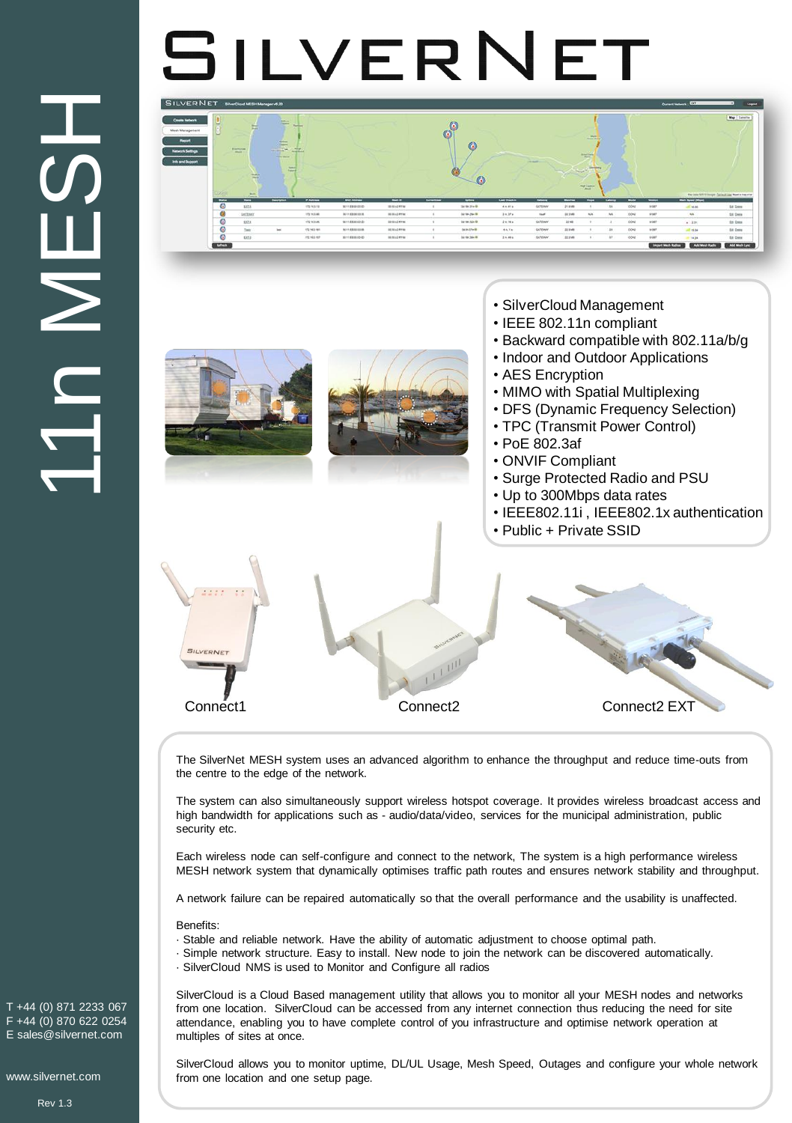## **CONSTANT SET CASES**<br>
(0) 870 622 0254<br>
(0) 870 622 0254<br>
Sesilvernet.com<br>
Rev 1.3 HSTNU1

## SILVERNET

| Create National<br>Mesh Management<br><b>Report</b> |                          | <b>Edit</b>                             | $\frac{1}{2}$<br><b>William</b>                                 | <b><i><u>Northern</u></i></b> |                     |                          | ъ              | G                      |                   |                   |               | <b>Martin</b><br><b>Hotel Monte</b>               |                 |                          |              |                                                                                 | Map Element                                   |
|-----------------------------------------------------|--------------------------|-----------------------------------------|-----------------------------------------------------------------|-------------------------------|---------------------|--------------------------|----------------|------------------------|-------------------|-------------------|---------------|---------------------------------------------------|-----------------|--------------------------|--------------|---------------------------------------------------------------------------------|-----------------------------------------------|
| <b>Network Seitings</b><br>Info and Support         |                          | <b>Branchaven</b>                       | $1400 +$<br><b>STORY</b><br><b>Torist Wood</b><br>$rac{1}{1-2}$ | $\frac{1}{2}$                 |                     |                          |                | $\odot$                |                   | <b>COMMERCIAL</b> |               | Profit of<br><b>STANDARD</b><br><b>Change May</b> |                 |                          |              |                                                                                 |                                               |
|                                                     | Z Orlo                   | <b>The Control</b><br><b>Bucky</b>      |                                                                 |                               |                     |                          |                | $\omega$               |                   |                   |               | my Lunch                                          |                 |                          |              |                                                                                 |                                               |
|                                                     | $\overline{\phantom{a}}$ | - Francisco<br>$\overline{\phantom{a}}$ | <b>Territoria</b>                                               | <b>PANING</b>                 | <b>MATAASHI</b>     | $\overline{\phantom{a}}$ | <b>Grantin</b> | $\overline{a}$         | <b>Las Dockin</b> | <b>Ballyon</b>    | $-$           | $\overline{\phantom{a}}$                          | <b>Lakers</b>   | $\overline{\phantom{a}}$ | <b>Weeks</b> | Mar lots NATE Enough Cattackton, Mastra Has a far-<br><b>Mark Spinal (Mayo)</b> |                                               |
|                                                     | $\circ$                  | EELA                                    |                                                                 | 17214312                      | NITERWIDE:          | mazers                   |                | $2a$ (as $21a$ $\hbar$ | 606416            | GATEWAY           | 21.956        |                                                   | 34              | obu                      | <b>VIII</b>  | $-$ 14.00                                                                       | fut lows                                      |
|                                                     | $\bullet$                | <b>SATISMY</b>                          |                                                                 | 17219.546                     | <b>301100003935</b> | macorew                  |                | before pay to          | $39.39 +$         | <b>Gulf</b>       | 223.66        | No.                                               | AtA             | long                     | <b>AFORD</b> | <b>ALL</b>                                                                      |                                               |
|                                                     | $\circ$                  | 325.4                                   |                                                                 | 12216.245                     | 101155300220-       | <b>IDSUZERK</b>          |                | be too too in          | 29:383            | SATEWAY.          | 22.948        |                                                   |                 | open                     | your         | $+22$                                                                           |                                               |
|                                                     | ___<br>⊙                 | Teste                                   | $\sim$                                                          | 105214-3-140                  | 901149-01039        | <b>BEREAZANN</b>         |                | <b>GASASTA-B</b>       | 46.16             | GATEWAY           | <b>JEB MB</b> |                                                   | 38              | cowa                     | <b>VIDET</b> | all star                                                                        | Sit Deep<br><b><i>Lit Crew</i></b><br>SA Deny |
|                                                     | $\circ$                  | 125.8                                   |                                                                 | 10216-012                     | <b>B1166000-00-</b> | <b>Hitchers</b>          |                | la vacina in           | 20,696            | SATEWAY.          | <b>JEFMS</b>  |                                                   | 10 <sup>2</sup> | ope                      | trial        | <b>Coupe</b>                                                                    | <b>Edit Comme</b>                             |



Connect1 Connect2 Connect2 EXT

The SilverNet MESH system uses an advanced algorithm to enhance the throughput and reduce time-outs from the centre to the edge of the network.

The system can also simultaneously support wireless hotspot coverage. It provides wireless broadcast access and high bandwidth for applications such as - audio/data/video, services for the municipal administration, public security etc.

Each wireless node can self-configure and connect to the network, The system is a high performance wireless MESH network system that dynamically optimises traffic path routes and ensures network stability and throughput.

A network failure can be repaired automatically so that the overall performance and the usability is unaffected.

Benefits:

- · Stable and reliable network. Have the ability of automatic adjustment to choose optimal path.
- · Simple network structure. Easy to install. New node to join the network can be discovered automatically.
- · SilverCloud NMS is used to Monitor and Configure all radios

SilverCloud is a Cloud Based management utility that allows you to monitor all your MESH nodes and networks from one location. SilverCloud can be accessed from any internet connection thus reducing the need for site attendance, enabling you to have complete control of you infrastructure and optimise network operation at multiples of sites at once.

SilverCloud allows you to monitor uptime, DL/UL Usage, Mesh Speed, Outages and configure your whole network from one location and one setup page.

T +44 (0) 871 2233 067 F +44 (0) 870 622 0254 E sales@silvernet.com

www.silvernet.com